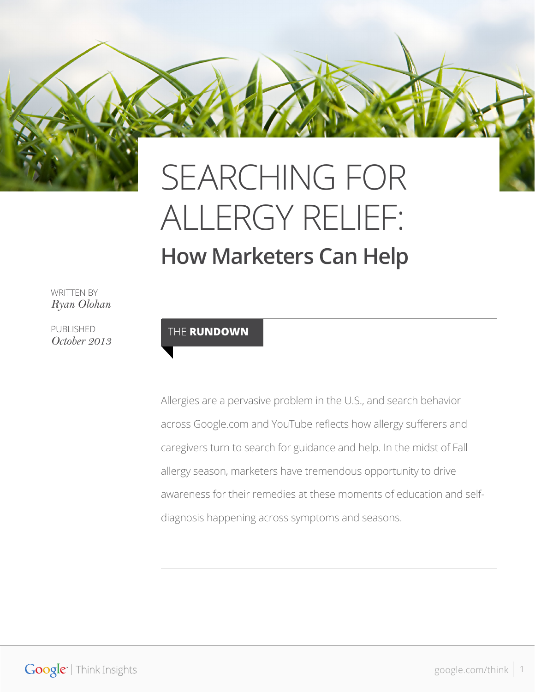

# ALLERGY RELIEF: **How Marketers Can Help**

WRITTEN BY *Ryan Olohan*

PUBLISHED *October 2013*

#### THE **RUNDOWN**

Allergies are a pervasive problem in the U.S., and search behavior across Google.com and YouTube reflects how allergy sufferers and caregivers turn to search for guidance and help. In the midst of Fall allergy season, marketers have tremendous opportunity to drive awareness for their remedies at these moments of education and selfdiagnosis happening across symptoms and seasons.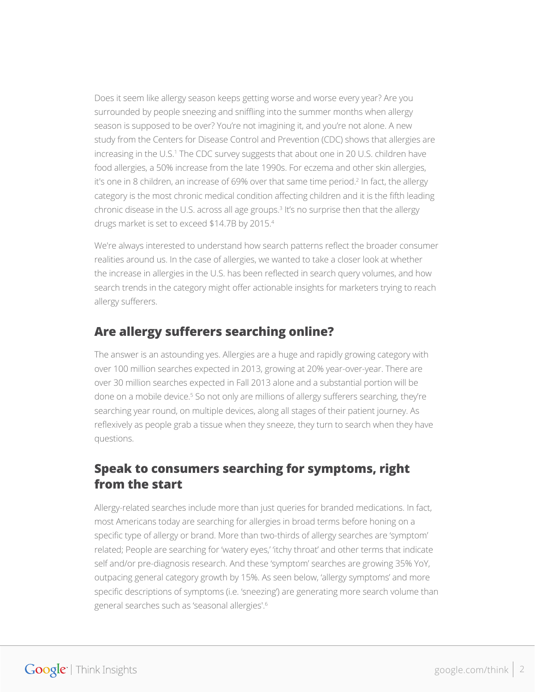Does it seem like allergy season keeps getting worse and worse every year? Are you surrounded by people sneezing and sniffling into the summer months when allergy season is supposed to be over? You're not imagining it, and you're not alone. A new study from the Centers for Disease Control and Prevention (CDC) shows that allergies are increasing in the U.S.1 The CDC survey suggests that about one in 20 U.S. children have food allergies, a 50% increase from the late 1990s. For eczema and other skin allergies, it's one in 8 children, an increase of 69% over that same time period.<sup>2</sup> In fact, the allergy category is the most chronic medical condition affecting children and it is the fifth leading chronic disease in the U.S. across all age groups.<sup>3</sup> It's no surprise then that the allergy drugs market is set to exceed \$14.7B by 2015.4

We're always interested to understand how search patterns reflect the broader consumer realities around us. In the case of allergies, we wanted to take a closer look at whether the increase in allergies in the U.S. has been reflected in search query volumes, and how search trends in the category might offer actionable insights for marketers trying to reach allergy sufferers.

## **Are allergy sufferers searching online?**

The answer is an astounding yes. Allergies are a huge and rapidly growing category with over 100 million searches expected in 2013, growing at 20% year-over-year. There are over 30 million searches expected in Fall 2013 alone and a substantial portion will be done on a mobile device.<sup>5</sup> So not only are millions of allergy sufferers searching, they're searching year round, on multiple devices, along all stages of their patient journey. As reflexively as people grab a tissue when they sneeze, they turn to search when they have questions.

## **Speak to consumers searching for symptoms, right from the start**

Allergy-related searches include more than just queries for branded medications. In fact, most Americans today are searching for allergies in broad terms before honing on a specific type of allergy or brand. More than two-thirds of allergy searches are 'symptom' related; People are searching for 'watery eyes,' 'itchy throat' and other terms that indicate self and/or pre-diagnosis research. And these 'symptom' searches are growing 35% YoY, outpacing general category growth by 15%. As seen below, 'allergy symptoms' and more specific descriptions of symptoms (i.e. 'sneezing') are generating more search volume than general searches such as 'seasonal allergies'.6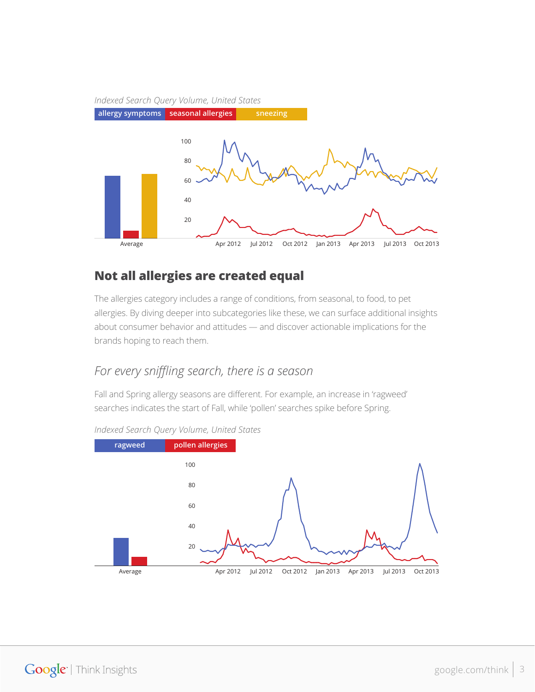#### *Indexed Search Query Volume, United States*



#### **Not all allergies are created equal**

The allergies category includes a range of conditions, from seasonal, to food, to pet allergies. By diving deeper into subcategories like these, we can surface additional insights about consumer behavior and attitudes — and discover actionable implications for the brands hoping to reach them.

#### *For every sniffling search, there is a season*

Fall and Spring allergy seasons are different. For example, an increase in 'ragweed' searches indicates the start of Fall, while 'pollen' searches spike before Spring.



*Indexed Search Query Volume, United States*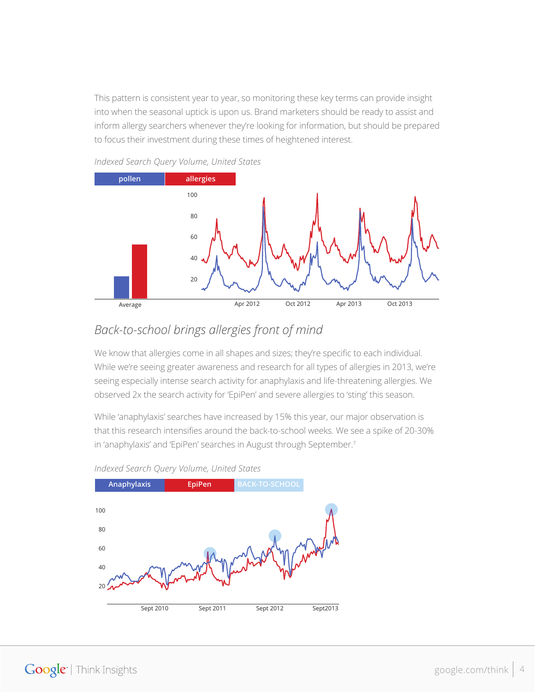This pattern is consistent year to year, so monitoring these key terms can provide insight into when the seasonal uptick is upon us. Brand marketers should be ready to assist and inform allergy searchers whenever they're looking for information, but should be prepared to focus their investment during these times of heightened interest.



*Indexed Search Query Volume, United States*

## *Back-to-school brings allergies front of mind*

We know that allergies come in all shapes and sizes; they're specific to each individual. While we're seeing greater awareness and research for all types of allergies in 2013, we're seeing especially intense search activity for anaphylaxis and life-threatening allergies. We observed 2x the search activity for 'EpiPen' and severe allergies to 'sting' this season.

While 'anaphylaxis' searches have increased by 15% this year, our major observation is that this research intensifies around the back-to-school weeks. We see a spike of 20-30% in 'anaphylaxis' and 'EpiPen' searches in August through September.7



*Indexed Search Query Volume, United States*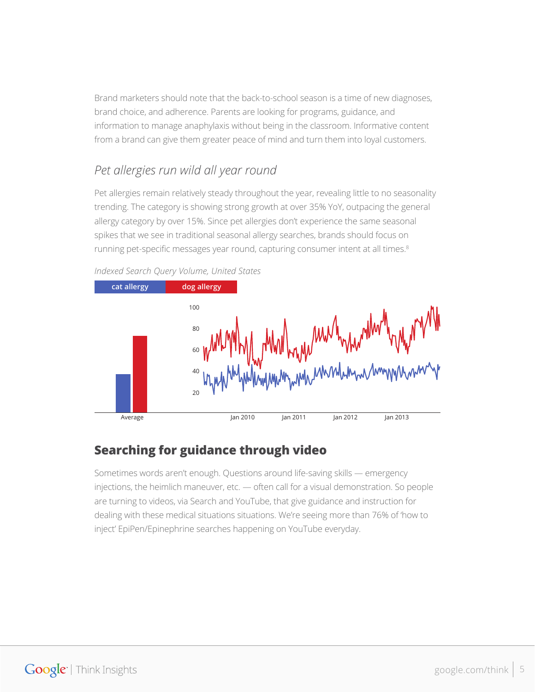Brand marketers should note that the back-to-school season is a time of new diagnoses, brand choice, and adherence. Parents are looking for programs, guidance, and information to manage anaphylaxis without being in the classroom. Informative content from a brand can give them greater peace of mind and turn them into loyal customers.

# *Pet allergies run wild all year round*

Pet allergies remain relatively steady throughout the year, revealing little to no seasonality trending. The category is showing strong growth at over 35% YoY, outpacing the general allergy category by over 15%. Since pet allergies don't experience the same seasonal spikes that we see in traditional seasonal allergy searches, brands should focus on running pet-specific messages year round, capturing consumer intent at all times.<sup>8</sup>



#### *Indexed Search Query Volume, United States*

# **Searching for guidance through video**

Sometimes words aren't enough. Questions around life-saving skills — emergency injections, the heimlich maneuver, etc. — often call for a visual demonstration. So people are turning to videos, via Search and YouTube, that give guidance and instruction for dealing with these medical situations situations. We're seeing more than 76% of 'how to inject' EpiPen/Epinephrine searches happening on YouTube everyday.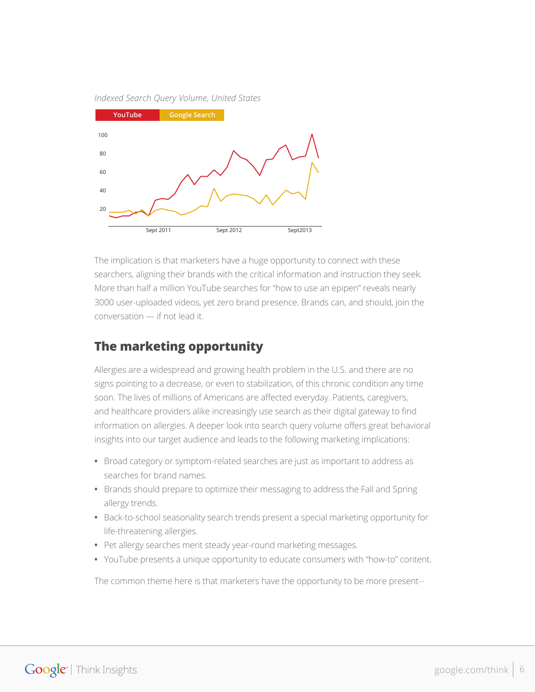#### *Indexed Search Query Volume, United States*



The implication is that marketers have a huge opportunity to connect with these searchers, aligning their brands with the critical information and instruction they seek. More than half a million YouTube searches for "how to use an epipen" reveals nearly 3000 user-uploaded videos, yet zero brand presence. Brands can, and should, join the conversation — if not lead it.

### **The marketing opportunity**

Allergies are a widespread and growing health problem in the U.S. and there are no signs pointing to a decrease, or even to stabilization, of this chronic condition any time soon. The lives of millions of Americans are affected everyday. Patients, caregivers, and healthcare providers alike increasingly use search as their digital gateway to find information on allergies. A deeper look into search query volume offers great behavioral insights into our target audience and leads to the following marketing implications:

- **•** Broad category or symptom-related searches are just as important to address as searches for brand names.
- **•** Brands should prepare to optimize their messaging to address the Fall and Spring allergy trends.
- **•** Back-to-school seasonality search trends present a special marketing opportunity for life-threatening allergies.
- **•** Pet allergy searches merit steady year-round marketing messages.
- **•** YouTube presents a unique opportunity to educate consumers with "how-to" content.

The common theme here is that marketers have the opportunity to be more present--